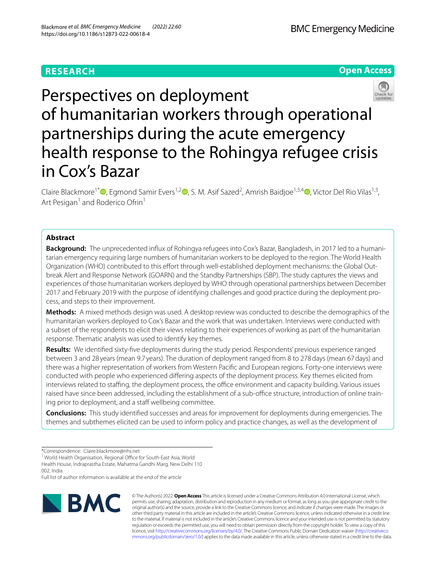# **RESEARCH**





# Perspectives on deployment of humanitarian workers through operational partnerships during the acute emergency health response to the Rohingya refugee crisis in Cox's Bazar

Claire Blackmore<sup>1\*</sup><sup>®</sup>[,](http://orcid.org/0000-0001-5295-5085) Egmond Samir Evers<sup>1,[2](http://orcid.org/0000-0003-0492-6786)</sup>®, S. M. Asif Sazed<sup>2</sup>, Amrish Baidjoe<sup>1,3,4</sup>®, Victor Del Rio Vilas<sup>1,3</sup>, Art Pesigan<sup>1</sup> and Roderico Ofrin<sup>1</sup>

# **Abstract**

**Background:** The unprecedented infux of Rohingya refugees into Cox's Bazar, Bangladesh, in 2017 led to a humanitarian emergency requiring large numbers of humanitarian workers to be deployed to the region. The World Health Organization (WHO) contributed to this effort through well-established deployment mechanisms: the Global Outbreak Alert and Response Network (GOARN) and the Standby Partnerships (SBP). The study captures the views and experiences of those humanitarian workers deployed by WHO through operational partnerships between December 2017 and February 2019 with the purpose of identifying challenges and good practice during the deployment process, and steps to their improvement.

**Methods:** A mixed methods design was used. A desktop review was conducted to describe the demographics of the humanitarian workers deployed to Cox's Bazar and the work that was undertaken. Interviews were conducted with a subset of the respondents to elicit their views relating to their experiences of working as part of the humanitarian response. Thematic analysis was used to identify key themes.

**Results:** We identifed sixty-fve deployments during the study period. Respondents' previous experience ranged between 3 and 28 years (mean 9.7 years). The duration of deployment ranged from 8 to 278days (mean 67days) and there was a higher representation of workers from Western Pacifc and European regions. Forty-one interviews were conducted with people who experienced difering aspects of the deployment process. Key themes elicited from interviews related to staffing, the deployment process, the office environment and capacity building. Various issues raised have since been addressed, including the establishment of a sub-office structure, introduction of online training prior to deployment, and a staff wellbeing committee.

**Conclusions:** This study identifed successes and areas for improvement for deployments during emergencies. The themes and subthemes elicited can be used to inform policy and practice changes, as well as the development of

<sup>1</sup> World Health Organisation, Regional Office for South-East Asia, World Health House, Indraprastha Estate, Mahatma Gandhi Marg, New Delhi 110 002, India

Full list of author information is available at the end of the article



© The Author(s) 2022. **Open Access** This article is licensed under a Creative Commons Attribution 4.0 International License, which permits use, sharing, adaptation, distribution and reproduction in any medium or format, as long as you give appropriate credit to the original author(s) and the source, provide a link to the Creative Commons licence, and indicate if changes were made. The images or other third party material in this article are included in the article's Creative Commons licence, unless indicated otherwise in a credit line to the material. If material is not included in the article's Creative Commons licence and your intended use is not permitted by statutory regulation or exceeds the permitted use, you will need to obtain permission directly from the copyright holder. To view a copy of this licence, visit [http://creativecommons.org/licenses/by/4.0/.](http://creativecommons.org/licenses/by/4.0/) The Creative Commons Public Domain Dedication waiver ([http://creativeco](http://creativecommons.org/publicdomain/zero/1.0/) [mmons.org/publicdomain/zero/1.0/](http://creativecommons.org/publicdomain/zero/1.0/)) applies to the data made available in this article, unless otherwise stated in a credit line to the data.

<sup>\*</sup>Correspondence: Claire.blackmore@nhs.net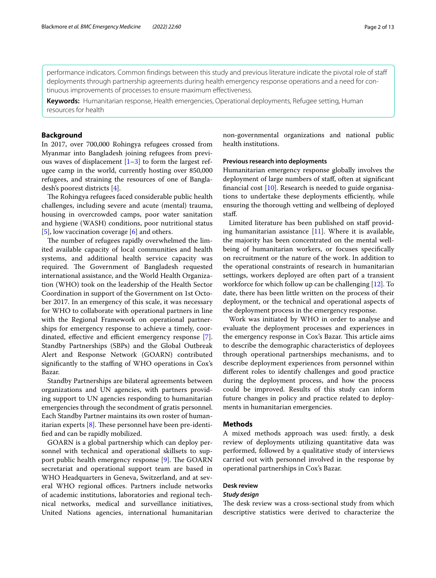performance indicators. Common fndings between this study and previous literature indicate the pivotal role of staf deployments through partnership agreements during health emergency response operations and a need for continuous improvements of processes to ensure maximum efectiveness.

**Keywords:** Humanitarian response, Health emergencies, Operational deployments, Refugee setting, Human resources for health

## **Background**

In 2017, over 700,000 Rohingya refugees crossed from Myanmar into Bangladesh joining refugees from previous waves of displacement  $[1-3]$  $[1-3]$  to form the largest refugee camp in the world, currently hosting over 850,000 refugees, and straining the resources of one of Bangladesh's poorest districts [[4\]](#page-12-2).

The Rohingya refugees faced considerable public health challenges, including severe and acute (mental) trauma, housing in overcrowded camps, poor water sanitation and hygiene (WASH) conditions, poor nutritional status [[5\]](#page-12-3), low vaccination coverage [\[6\]](#page-12-4) and others.

The number of refugees rapidly overwhelmed the limited available capacity of local communities and health systems, and additional health service capacity was required. The Government of Bangladesh requested international assistance, and the World Health Organization (WHO) took on the leadership of the Health Sector Coordination in support of the Government on 1st October 2017. In an emergency of this scale, it was necessary for WHO to collaborate with operational partners in line with the Regional Framework on operational partnerships for emergency response to achieve a timely, coor-dinated, effective and efficient emergency response [\[7](#page-12-5)]. Standby Partnerships (SBPs) and the Global Outbreak Alert and Response Network (GOARN) contributed significantly to the staffing of WHO operations in Cox's Bazar.

Standby Partnerships are bilateral agreements between organizations and UN agencies, with partners providing support to UN agencies responding to humanitarian emergencies through the secondment of gratis personnel. Each Standby Partner maintains its own roster of humanitarian experts  $[8]$  $[8]$ . These personnel have been pre-identifed and can be rapidly mobilized.

GOARN is a global partnership which can deploy personnel with technical and operational skillsets to support public health emergency response  $[9]$  $[9]$ . The GOARN secretariat and operational support team are based in WHO Headquarters in Geneva, Switzerland, and at several WHO regional offices. Partners include networks of academic institutions, laboratories and regional technical networks, medical and surveillance initiatives, United Nations agencies, international humanitarian non-governmental organizations and national public health institutions.

#### **Previous research into deployments**

Humanitarian emergency response globally involves the deployment of large numbers of staf, often at signifcant fnancial cost [[10\]](#page-12-8). Research is needed to guide organisations to undertake these deployments efficiently, while ensuring the thorough vetting and wellbeing of deployed staf.

Limited literature has been published on staf providing humanitarian assistance  $[11]$  $[11]$ . Where it is available, the majority has been concentrated on the mental wellbeing of humanitarian workers, or focuses specifcally on recruitment or the nature of the work. In addition to the operational constraints of research in humanitarian settings, workers deployed are often part of a transient workforce for which follow up can be challenging [\[12](#page-12-10)]. To date, there has been little written on the process of their deployment, or the technical and operational aspects of the deployment process in the emergency response.

Work was initiated by WHO in order to analyse and evaluate the deployment processes and experiences in the emergency response in Cox's Bazar. This article aims to describe the demographic characteristics of deployees through operational partnerships mechanisms, and to describe deployment experiences from personnel within diferent roles to identify challenges and good practice during the deployment process, and how the process could be improved. Results of this study can inform future changes in policy and practice related to deployments in humanitarian emergencies.

## **Methods**

A mixed methods approach was used: frstly, a desk review of deployments utilizing quantitative data was performed, followed by a qualitative study of interviews carried out with personnel involved in the response by operational partnerships in Cox's Bazar.

## **Desk review**

#### *Study design*

The desk review was a cross-sectional study from which descriptive statistics were derived to characterize the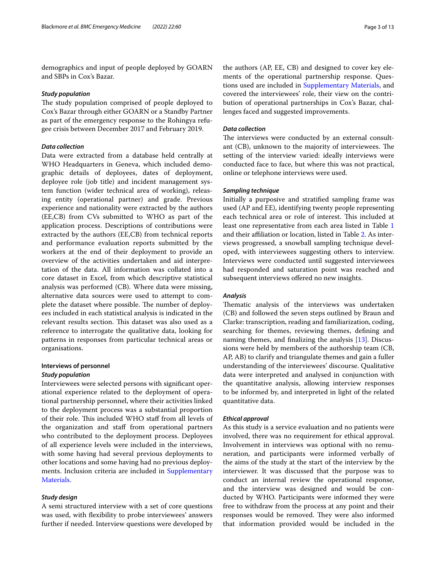demographics and input of people deployed by GOARN and SBPs in Cox's Bazar.

#### *Study population*

The study population comprised of people deployed to Cox's Bazar through either GOARN or a Standby Partner as part of the emergency response to the Rohingya refugee crisis between December 2017 and February 2019.

## *Data collection*

Data were extracted from a database held centrally at WHO Headquarters in Geneva, which included demographic details of deployees, dates of deployment, deployee role (job title) and incident management system function (wider technical area of working), releasing entity (operational partner) and grade. Previous experience and nationality were extracted by the authors (EE,CB) from CVs submitted to WHO as part of the application process. Descriptions of contributions were extracted by the authors (EE,CB) from technical reports and performance evaluation reports submitted by the workers at the end of their deployment to provide an overview of the activities undertaken and aid interpretation of the data. All information was collated into a core dataset in Excel, from which descriptive statistical analysis was performed (CB). Where data were missing, alternative data sources were used to attempt to complete the dataset where possible. The number of deployees included in each statistical analysis is indicated in the relevant results section. This dataset was also used as a reference to interrogate the qualitative data, looking for patterns in responses from particular technical areas or organisations.

# **Interviews of personnel**

## *Study population*

Interviewees were selected persons with signifcant operational experience related to the deployment of operational partnership personnel, where their activities linked to the deployment process was a substantial proportion of their role. This included WHO staff from all levels of the organization and staf from operational partners who contributed to the deployment process. Deployees of all experience levels were included in the interviews, with some having had several previous deployments to other locations and some having had no previous deployments. Inclusion criteria are included in Supplementary [Materials](#page-11-0).

#### *Study design*

A semi structured interview with a set of core questions was used, with fexibility to probe interviewees' answers further if needed. Interview questions were developed by

the authors (AP, EE, CB) and designed to cover key elements of the operational partnership response. Questions used are included in [Supplementary Materials](#page-11-0), and covered the interviewees' role, their view on the contribution of operational partnerships in Cox's Bazar, challenges faced and suggested improvements.

#### *Data collection*

The interviews were conducted by an external consultant (CB), unknown to the majority of interviewees. The setting of the interview varied: ideally interviews were conducted face to face, but where this was not practical, online or telephone interviews were used.

## *Sampling technique*

Initially a purposive and stratifed sampling frame was used (AP and EE), identifying twenty people representing each technical area or role of interest. This included at least one representative from each area listed in Table [1](#page-3-0) and their affiliation or location, listed in Table [2](#page-4-0). As interviews progressed, a snowball sampling technique developed, with interviewees suggesting others to interview. Interviews were conducted until suggested interviewees had responded and saturation point was reached and subsequent interviews ofered no new insights.

#### *Analysis*

Thematic analysis of the interviews was undertaken (CB) and followed the seven steps outlined by Braun and Clarke: transcription, reading and familiarization, coding, searching for themes, reviewing themes, defning and naming themes, and fnalizing the analysis [[13\]](#page-12-11). Discussions were held by members of the authorship team (CB, AP, AB) to clarify and triangulate themes and gain a fuller understanding of the interviewees' discourse. Qualitative data were interpreted and analysed in conjunction with the quantitative analysis, allowing interview responses to be informed by, and interpreted in light of the related quantitative data.

## *Ethical approval*

As this study is a service evaluation and no patients were involved, there was no requirement for ethical approval. Involvement in interviews was optional with no remuneration, and participants were informed verbally of the aims of the study at the start of the interview by the interviewer. It was discussed that the purpose was to conduct an internal review the operational response, and the interview was designed and would be conducted by WHO. Participants were informed they were free to withdraw from the process at any point and their responses would be removed. They were also informed that information provided would be included in the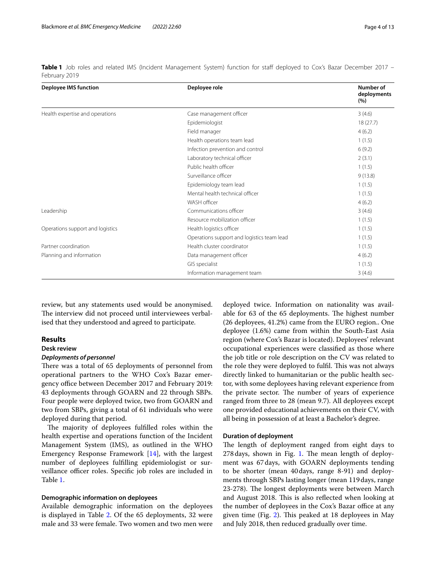| <b>Deployee IMS function</b>     | Deployee role                              | Number of<br>deployments<br>(%) |
|----------------------------------|--------------------------------------------|---------------------------------|
| Health expertise and operations  | Case management officer                    | 3(4.6)                          |
|                                  | Epidemiologist                             | 18(27.7)                        |
|                                  | Field manager                              | 4(6.2)                          |
|                                  | Health operations team lead                | 1(1.5)                          |
|                                  | Infection prevention and control           | 6(9.2)                          |
|                                  | Laboratory technical officer               | 2(3.1)                          |
|                                  | Public health officer                      | 1(1.5)                          |
|                                  | Surveillance officer                       | 9(13.8)                         |
|                                  | Epidemiology team lead                     | 1(1.5)                          |
|                                  | Mental health technical officer            | 1(1.5)                          |
|                                  | WASH officer                               | 4(6.2)                          |
| Leadership                       | Communications officer                     | 3(4.6)                          |
|                                  | Resource mobilization officer              | 1(1.5)                          |
| Operations support and logistics | Health logistics officer                   | 1(1.5)                          |
|                                  | Operations support and logistics team lead | 1(1.5)                          |
| Partner coordination             | Health cluster coordinator                 | 1(1.5)                          |
| Planning and information         | Data management officer                    | 4(6.2)                          |
|                                  | GIS specialist                             | 1(1.5)                          |
|                                  | Information management team                | 3(4.6)                          |

<span id="page-3-0"></span>**Table 1** Job roles and related IMS (Incident Management System) function for staff deployed to Cox's Bazar December 2017 – February 2019

review, but any statements used would be anonymised. The interview did not proceed until interviewees verbalised that they understood and agreed to participate.

## **Results**

## **Desk review** *Deployments of personnel*

There was a total of 65 deployments of personnel from operational partners to the WHO Cox's Bazar emergency office between December 2017 and February 2019: 43 deployments through GOARN and 22 through SBPs. Four people were deployed twice, two from GOARN and two from SBPs, giving a total of 61 individuals who were deployed during that period.

The majority of deployees fulfilled roles within the health expertise and operations function of the Incident Management System (IMS), as outlined in the WHO Emergency Response Framework [[14\]](#page-12-12), with the largest number of deployees fulflling epidemiologist or surveillance officer roles. Specific job roles are included in Table [1](#page-3-0).

## **Demographic information on deployees**

Available demographic information on the deployees is displayed in Table [2](#page-4-0). Of the 65 deployments, 32 were male and 33 were female. Two women and two men were

deployed twice. Information on nationality was available for 63 of the 65 deployments. The highest number (26 deployees, 41.2%) came from the EURO region.. One deployee (1.6%) came from within the South-East Asia region (where Cox's Bazar is located). Deployees' relevant occupational experiences were classifed as those where the job title or role description on the CV was related to the role they were deployed to fulfil. This was not always directly linked to humanitarian or the public health sector, with some deployees having relevant experience from the private sector. The number of years of experience ranged from three to 28 (mean 9.7). All deployees except one provided educational achievements on their CV, with all being in possession of at least a Bachelor's degree.

#### **Duration of deployment**

The length of deployment ranged from eight days to  $278$  days, shown in Fig. [1](#page-5-0). The mean length of deployment was 67days, with GOARN deployments tending to be shorter (mean 40days, range 8-91) and deployments through SBPs lasting longer (mean 119days, range 23-278). The longest deployments were between March and August 2018. This is also reflected when looking at the number of deployees in the Cox's Bazar office at any given time (Fig. [2\)](#page-5-1). This peaked at 18 deployees in May and July 2018, then reduced gradually over time.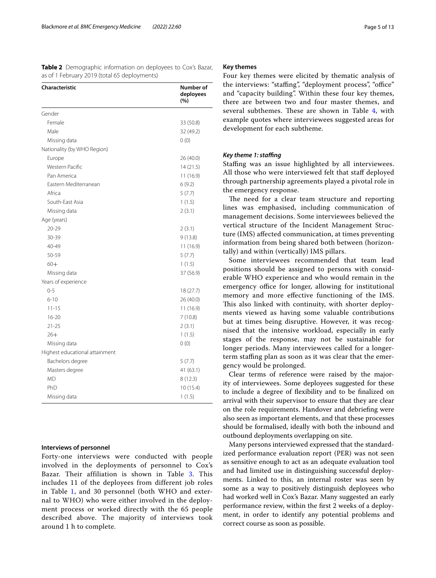<span id="page-4-0"></span>**Table 2** Demographic information on deployees to Cox's Bazar, as of 1 February 2019 (total 65 deployments)

| <b>Characteristic</b>          | Number of<br>deployees<br>(%) |
|--------------------------------|-------------------------------|
| Gender                         |                               |
| Female                         | 33 (50.8)                     |
| Male                           | 32 (49.2)                     |
| Missing data                   | 0(0)                          |
| Nationality (by WHO Region)    |                               |
| Europe                         | 26 (40.0)                     |
| Western Pacific                | 14(21.5)                      |
| Pan America                    | 11 (16.9)                     |
| Eastern Mediterranean          | 6(9.2)                        |
| Africa                         | 5(7.7)                        |
| South-East Asia                | 1(1.5)                        |
| Missing data                   | 2(3.1)                        |
| Age (years)                    |                               |
| $20 - 29$                      | 2(3.1)                        |
| 30-39                          | 9(13.8)                       |
| 40-49                          | 11 (16.9)                     |
| 50-59                          | 5(7.7)                        |
| $60+$                          | 1(1.5)                        |
| Missing data                   | 37 (56.9)                     |
| Years of experience            |                               |
| $0 - 5$                        | 18 (27.7)                     |
| $6 - 10$                       | 26 (40.0)                     |
| $11 - 15$                      | 11 (16.9)                     |
| $16 - 20$                      | 7 (10.8)                      |
| $21 - 25$                      | 2(3.1)                        |
| $26+$                          | 1(1.5)                        |
| Missing data                   | 0(0)                          |
| Highest educational attainment |                               |
| Bachelors degree               | 5(7.7)                        |
| Masters degree                 | 41 (63.1)                     |
| <b>MD</b>                      | 8(12.3)                       |
| PhD                            | 10(15.4)                      |
| Missing data                   | 1(1.5)                        |

## **Interviews of personnel**

Forty-one interviews were conducted with people involved in the deployments of personnel to Cox's Bazar. Their affiliation is shown in Table [3.](#page-6-0) This includes 11 of the deployees from different job roles in Table [1,](#page-3-0) and 30 personnel (both WHO and external to WHO) who were either involved in the deployment process or worked directly with the 65 people described above. The majority of interviews took around 1 h to complete.

#### **Key themes**

Four key themes were elicited by thematic analysis of the interviews: "staffing", "deployment process", "office" and "capacity building". Within these four key themes, there are between two and four master themes, and several subthemes. These are shown in Table [4](#page-7-0), with example quotes where interviewees suggested areas for development for each subtheme.

#### *Key theme 1: stafng*

Staffing was an issue highlighted by all interviewees. All those who were interviewed felt that staf deployed through partnership agreements played a pivotal role in the emergency response.

The need for a clear team structure and reporting lines was emphasised, including communication of management decisions. Some interviewees believed the vertical structure of the Incident Management Structure (IMS) afected communication, at times preventing information from being shared both between (horizontally) and within (vertically) IMS pillars.

Some interviewees recommended that team lead positions should be assigned to persons with considerable WHO experience and who would remain in the emergency office for longer, allowing for institutional memory and more efective functioning of the IMS. This also linked with continuity, with shorter deployments viewed as having some valuable contributions but at times being disruptive. However, it was recognised that the intensive workload, especially in early stages of the response, may not be sustainable for longer periods. Many interviewees called for a longerterm stafng plan as soon as it was clear that the emergency would be prolonged.

Clear terms of reference were raised by the majority of interviewees. Some deployees suggested for these to include a degree of fexibility and to be fnalized on arrival with their supervisor to ensure that they are clear on the role requirements. Handover and debriefng were also seen as important elements, and that these processes should be formalised, ideally with both the inbound and outbound deployments overlapping on site.

Many persons interviewed expressed that the standardized performance evaluation report (PER) was not seen as sensitive enough to act as an adequate evaluation tool and had limited use in distinguishing successful deployments. Linked to this, an internal roster was seen by some as a way to positively distinguish deployees who had worked well in Cox's Bazar. Many suggested an early performance review, within the frst 2 weeks of a deployment, in order to identify any potential problems and correct course as soon as possible.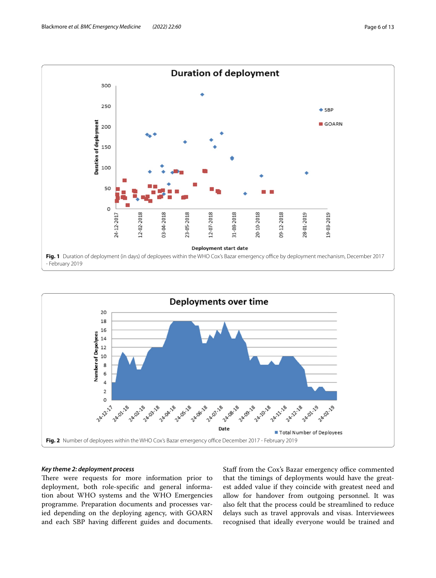

<span id="page-5-0"></span>

## <span id="page-5-1"></span>*Key theme 2: deployment process*

There were requests for more information prior to deployment, both role-specifc and general information about WHO systems and the WHO Emergencies programme. Preparation documents and processes varied depending on the deploying agency, with GOARN and each SBP having diferent guides and documents. Staff from the Cox's Bazar emergency office commented that the timings of deployments would have the greatest added value if they coincide with greatest need and allow for handover from outgoing personnel. It was also felt that the process could be streamlined to reduce delays such as travel approvals and visas. Interviewees recognised that ideally everyone would be trained and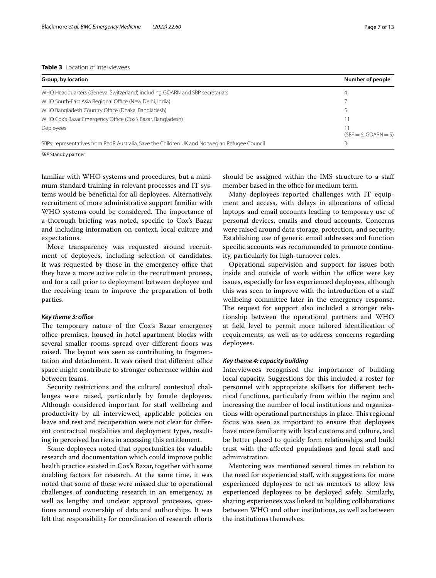## <span id="page-6-0"></span>**Table 3** Location of interviewees

| Group, by location                                                                            | Number of people       |
|-----------------------------------------------------------------------------------------------|------------------------|
| WHO Headquarters (Geneva, Switzerland) including GOARN and SBP secretariats                   | 4                      |
| WHO South-East Asia Regional Office (New Delhi, India)                                        |                        |
| WHO Bangladesh Country Office (Dhaka, Bangladesh)                                             |                        |
| WHO Cox's Bazar Emergency Office (Cox's Bazar, Bangladesh)                                    |                        |
| Deployees                                                                                     | $(SBP = 6, GOARN = 5)$ |
| SBPs: representatives from RedR Australia, Save the Children UK and Norwegian Refugee Council |                        |

*SBP* Standby partner

familiar with WHO systems and procedures, but a minimum standard training in relevant processes and IT systems would be benefcial for all deployees. Alternatively, recruitment of more administrative support familiar with WHO systems could be considered. The importance of a thorough briefng was noted, specifc to Cox's Bazar and including information on context, local culture and expectations.

More transparency was requested around recruitment of deployees, including selection of candidates. It was requested by those in the emergency office that they have a more active role in the recruitment process, and for a call prior to deployment between deployee and the receiving team to improve the preparation of both parties.

#### *Key theme 3: office*

The temporary nature of the Cox's Bazar emergency office premises, housed in hotel apartment blocks with several smaller rooms spread over different floors was raised. The layout was seen as contributing to fragmentation and detachment. It was raised that different office space might contribute to stronger coherence within and between teams.

Security restrictions and the cultural contextual challenges were raised, particularly by female deployees. Although considered important for staff wellbeing and productivity by all interviewed, applicable policies on leave and rest and recuperation were not clear for diferent contractual modalities and deployment types, resulting in perceived barriers in accessing this entitlement.

Some deployees noted that opportunities for valuable research and documentation which could improve public health practice existed in Cox's Bazar, together with some enabling factors for research. At the same time, it was noted that some of these were missed due to operational challenges of conducting research in an emergency, as well as lengthy and unclear approval processes, questions around ownership of data and authorships. It was felt that responsibility for coordination of research efforts should be assigned within the IMS structure to a staf member based in the office for medium term.

Many deployees reported challenges with IT equipment and access, with delays in allocations of official laptops and email accounts leading to temporary use of personal devices, emails and cloud accounts. Concerns were raised around data storage, protection, and security. Establishing use of generic email addresses and function specifc accounts was recommended to promote continuity, particularly for high-turnover roles.

Operational supervision and support for issues both inside and outside of work within the office were key issues, especially for less experienced deployees, although this was seen to improve with the introduction of a staf wellbeing committee later in the emergency response. The request for support also included a stronger relationship between the operational partners and WHO at feld level to permit more tailored identifcation of requirements, as well as to address concerns regarding deployees.

#### *Key theme 4: capacity building*

Interviewees recognised the importance of building local capacity. Suggestions for this included a roster for personnel with appropriate skillsets for diferent technical functions, particularly from within the region and increasing the number of local institutions and organizations with operational partnerships in place. This regional focus was seen as important to ensure that deployees have more familiarity with local customs and culture, and be better placed to quickly form relationships and build trust with the afected populations and local staf and administration.

Mentoring was mentioned several times in relation to the need for experienced staf, with suggestions for more experienced deployees to act as mentors to allow less experienced deployees to be deployed safely. Similarly, sharing experiences was linked to building collaborations between WHO and other institutions, as well as between the institutions themselves.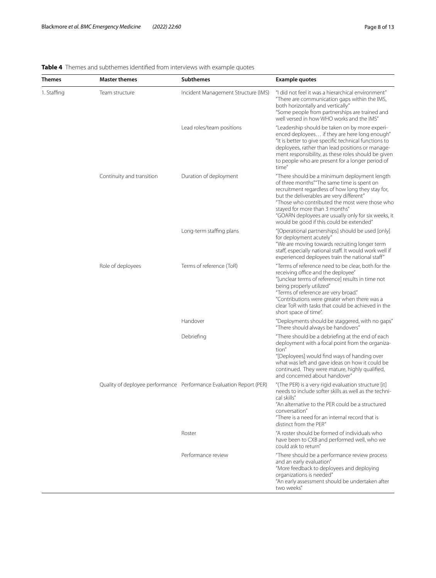#### **Themes Master themes Subthemes Example quotes** 1. Stafng Team structure Incident Management Structure (IMS) "I did not feel it was a hierarchical environment" "There are communication gaps within the IMS, both horizontally and vertically" "Some people from partnerships are trained and well versed in how WHO works and the IMS" Lead roles/team positions "Leadership should be taken on by more experienced deployees… if they are here long enough" "It is better to give specifc technical functions to deployees, rather than lead positions or management responsibility, as these roles should be given to people who are present for a longer period of time" Continuity and transition Duration of deployment "There should be a minimum deployment length of three months""The same time is spent on recruitment regardless of how long they stay for, but the deliverables are very diferent" "Those who contributed the most were those who stayed for more than 3 months" "GOARN deployees are usually only for six weeks, it would be good if this could be extended" Long-term staffing plans "[Operational partnerships] should be used [only] for deployment acutely" "We are moving towards recruiting longer term staff, especially national staff. It would work well if experienced deployees train the national staf" Role of deployees Terms of reference (ToR) Terms of reference need to be clear, both for the receiving office and the deployee" "[unclear terms of reference] results in time not being properly utilized" "Terms of reference are very broad." "Contributions were greater when there was a clear ToR with tasks that could be achieved in the short space of time". Handover **Example 20** and the "Deployments should be staggered, with no gaps" "There should always be handovers" Debriefing There should be a debriefing at the end of each  $\blacksquare$ deployment with a focal point from the organization" "[Deployees] would fnd ways of handing over what was left and gave ideas on how it could be continued. They were mature, highly qualifed, and concerned about handover" Quality of deployee performance Performance Evaluation Report (PER) "(The PER) is a very rigid evaluation structure [it] needs to include softer skills as well as the technical skills" "An alternative to the PER could be a structured conversation" "There is a need for an internal record that is distinct from the PER" Roster **Notionally 12 and 13 and 14 and 14 and 14 and 14 and 14 and 14 and 14 and 14 and 14 and 14 and 14 and 14 and 14 and 14 and 14 and 14 and 14 and 14 and 14 and 14 and 14 and 14 and 14 and 14 and 14 and 14 and 14 and** have been to CXB and performed well, who we could ask to return" Performance review "There should be a performance review process and an early evaluation" "More feedback to deployees and deploying organizations is needed" "An early assessment should be undertaken after two weeks"

## <span id="page-7-0"></span>**Table 4** Themes and subthemes identifed from interviews with example quotes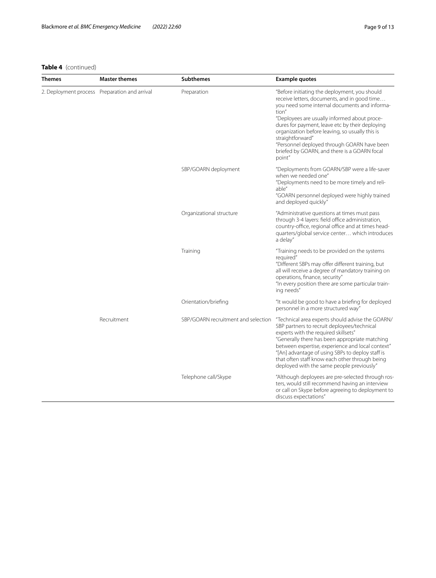# **Table 4** (continued)

| <b>Themes</b>                                 | <b>Master themes</b> | <b>Subthemes</b>                    | <b>Example quotes</b>                                                                                                                                                                                                                                                                                                                                                                                                                      |
|-----------------------------------------------|----------------------|-------------------------------------|--------------------------------------------------------------------------------------------------------------------------------------------------------------------------------------------------------------------------------------------------------------------------------------------------------------------------------------------------------------------------------------------------------------------------------------------|
| 2. Deployment process Preparation and arrival |                      | Preparation                         | "Before initiating the deployment, you should<br>receive letters, documents, and in good time<br>you need some internal documents and informa-<br>tion"<br>"Deployees are usually informed about proce-<br>dures for payment, leave etc by their deploying<br>organization before leaving, so usually this is<br>straightforward"<br>"Personnel deployed through GOARN have been<br>briefed by GOARN, and there is a GOARN focal<br>point" |
|                                               |                      | SBP/GOARN deployment                | "Deployments from GOARN/SBP were a life-saver<br>when we needed one"<br>"Deployments need to be more timely and reli-<br>able"<br>"GOARN personnel deployed were highly trained<br>and deployed quickly"                                                                                                                                                                                                                                   |
|                                               |                      | Organizational structure            | "Administrative questions at times must pass<br>through 3-4 layers: field office administration,<br>country-office, regional office and at times head-<br>quarters/global service center which introduces<br>a delay"                                                                                                                                                                                                                      |
|                                               |                      | Training                            | "Training needs to be provided on the systems<br>required"<br>"Different SBPs may offer different training, but<br>all will receive a degree of mandatory training on<br>operations, finance, security"<br>"In every position there are some particular train-<br>ing needs"                                                                                                                                                               |
|                                               |                      | Orientation/briefing                | "It would be good to have a briefing for deployed<br>personnel in a more structured way"                                                                                                                                                                                                                                                                                                                                                   |
|                                               | Recruitment          | SBP/GOARN recruitment and selection | "Technical area experts should advise the GOARN/<br>SBP partners to recruit deployees/technical<br>experts with the required skillsets"<br>"Generally there has been appropriate matching<br>between expertise, experience and local context"<br>"[An] advantage of using SBPs to deploy staff is<br>that often staff know each other through being<br>deployed with the same people previously"                                           |
|                                               |                      | Telephone call/Skype                | "Although deployees are pre-selected through ros-<br>ters, would still recommend having an interview<br>or call on Skype before agreeing to deployment to<br>discuss expectations"                                                                                                                                                                                                                                                         |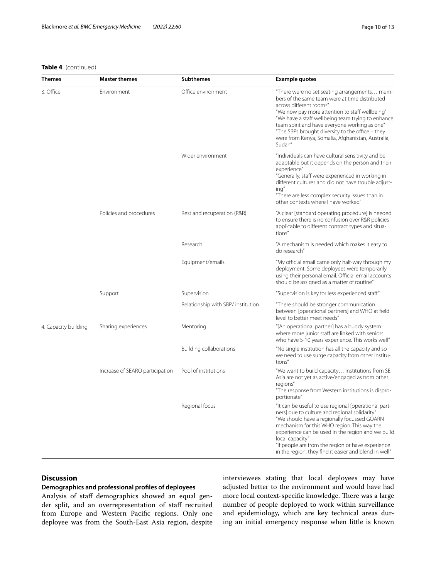## **Table 4** (continued)

| Themes               | <b>Master themes</b>            | <b>Subthemes</b>                   | <b>Example quotes</b>                                                                                                                                                                                                                                                                                                                                                                                |
|----------------------|---------------------------------|------------------------------------|------------------------------------------------------------------------------------------------------------------------------------------------------------------------------------------------------------------------------------------------------------------------------------------------------------------------------------------------------------------------------------------------------|
| 3. Office            | Environment                     | Office environment                 | "There were no set seating arrangements mem-<br>bers of the same team were at time distributed<br>across different rooms"<br>"We now pay more attention to staff wellbeing"<br>"We have a staff wellbeing team trying to enhance<br>team spirit and have everyone working as one"<br>"The SBPs brought diversity to the office – they<br>were from Kenya, Somalia, Afghanistan, Australia,<br>Sudan" |
|                      |                                 | Wider environment                  | "Individuals can have cultural sensitivity and be<br>adaptable but it depends on the person and their<br>experience"<br>"Generally, staff were experienced in working in<br>different cultures and did not have trouble adjust-<br>ing"<br>"There are less complex security issues than in<br>other contexts where I have worked"                                                                    |
|                      | Policies and procedures         | Rest and recuperation (R&R)        | "A clear [standard operating procedure] is needed<br>to ensure there is no confusion over R&R policies<br>applicable to different contract types and situa-<br>tions"                                                                                                                                                                                                                                |
|                      |                                 | Research                           | "A mechanism is needed which makes it easy to<br>do research"                                                                                                                                                                                                                                                                                                                                        |
|                      |                                 | Equipment/emails                   | "My official email came only half-way through my<br>deployment. Some deployees were temporarily<br>using their personal email. Official email accounts<br>should be assigned as a matter of routine"                                                                                                                                                                                                 |
|                      | Support                         | Supervision                        | "Supervision is key for less experienced staff"                                                                                                                                                                                                                                                                                                                                                      |
|                      |                                 | Relationship with SBP/ institution | "There should be stronger communication<br>between [operational partners] and WHO at field<br>level to better meet needs"                                                                                                                                                                                                                                                                            |
| 4. Capacity building | Sharing experiences             | Mentoring                          | "[An operational partner] has a buddy system<br>where more junior staff are linked with seniors<br>who have 5-10 years' experience. This works well"                                                                                                                                                                                                                                                 |
|                      |                                 | Building collaborations            | "No single institution has all the capacity and so<br>we need to use surge capacity from other institu-<br>tions"                                                                                                                                                                                                                                                                                    |
|                      | Increase of SEARO participation | Pool of institutions               | "We want to build capacity institutions from SE<br>Asia are not yet as active/engaged as from other<br>regions"<br>"The response from Western institutions is dispro-<br>portionate"                                                                                                                                                                                                                 |
|                      |                                 | Regional focus                     | "It can be useful to use regional [operational part-<br>ners] due to culture and regional solidarity"<br>"We should have a regionally focussed GOARN<br>mechanism for this WHO region. This way the<br>experience can be used in the region and we build<br>local capacity"<br>"If people are from the region or have experience<br>in the region, they find it easier and blend in well"            |

## **Discussion**

## **Demographics and professional profles of deployees**

Analysis of staff demographics showed an equal gender split, and an overrepresentation of staff recruited from Europe and Western Pacifc regions. Only one deployee was from the South-East Asia region, despite interviewees stating that local deployees may have adjusted better to the environment and would have had more local context-specific knowledge. There was a large number of people deployed to work within surveillance and epidemiology, which are key technical areas during an initial emergency response when little is known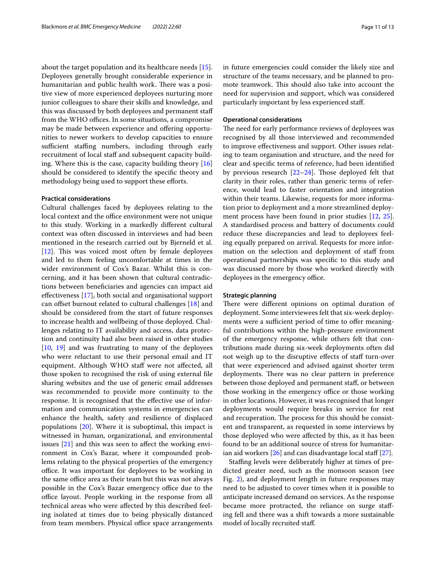about the target population and its healthcare needs [\[15](#page-12-13)]. Deployees generally brought considerable experience in humanitarian and public health work. There was a positive view of more experienced deployees nurturing more junior colleagues to share their skills and knowledge, and this was discussed by both deployees and permanent staf from the WHO offices. In some situations, a compromise may be made between experience and offering opportunities to newer workers to develop capacities to ensure sufficient staffing numbers, including through early recruitment of local staff and subsequent capacity building. Where this is the case, capacity building theory [[16](#page-12-14)] should be considered to identify the specifc theory and methodology being used to support these efforts.

## **Practical considerations**

Cultural challenges faced by deployees relating to the local context and the office environment were not unique to this study. Working in a markedly diferent cultural context was often discussed in interviews and had been mentioned in the research carried out by Bjerneld et al.  $[12]$  $[12]$ . This was voiced most often by female deployees and led to them feeling uncomfortable at times in the wider environment of Cox's Bazar. Whilst this is concerning, and it has been shown that cultural contradictions between benefciaries and agencies can impact aid efectiveness [\[17](#page-12-15)], both social and organisational support can offset burnout related to cultural challenges [[18](#page-12-16)] and should be considered from the start of future responses to increase health and wellbeing of those deployed. Challenges relating to IT availability and access, data protection and continuity had also been raised in other studies [[10,](#page-12-8) [19](#page-12-17)] and was frustrating to many of the deployees who were reluctant to use their personal email and IT equipment. Although WHO staff were not affected, all those spoken to recognised the risk of using external fle sharing websites and the use of generic email addresses was recommended to provide more continuity to the response. It is recognised that the efective use of information and communication systems in emergencies can enhance the health, safety and resilience of displaced populations [[20\]](#page-12-18). Where it is suboptimal, this impact is witnessed in human, organizational, and environmental issues [[21\]](#page-12-19) and this was seen to afect the working environment in Cox's Bazar, where it compounded problems relating to the physical properties of the emergency office. It was important for deployees to be working in the same office area as their team but this was not always possible in the Cox's Bazar emergency office due to the office layout. People working in the response from all technical areas who were afected by this described feeling isolated at times due to being physically distanced from team members. Physical office space arrangements in future emergencies could consider the likely size and structure of the teams necessary, and be planned to promote teamwork. This should also take into account the need for supervision and support, which was considered particularly important by less experienced staf.

## **Operational considerations**

The need for early performance reviews of deployees was recognised by all those interviewed and recommended to improve efectiveness and support. Other issues relating to team organisation and structure, and the need for clear and specifc terms of reference, had been identifed by previous research  $[22-24]$  $[22-24]$ . Those deployed felt that clarity in their roles, rather than generic terms of reference, would lead to faster orientation and integration within their teams. Likewise, requests for more information prior to deployment and a more streamlined deployment process have been found in prior studies [[12,](#page-12-10) [25](#page-12-22)]. A standardised process and battery of documents could reduce these discrepancies and lead to deployees feeling equally prepared on arrival. Requests for more information on the selection and deployment of staff from operational partnerships was specifc to this study and was discussed more by those who worked directly with deployees in the emergency office.

## **Strategic planning**

There were different opinions on optimal duration of deployment. Some interviewees felt that six-week deployments were a sufficient period of time to offer meaningful contributions within the high-pressure environment of the emergency response, while others felt that contributions made during six-week deployments often did not weigh up to the disruptive efects of staf turn-over that were experienced and advised against shorter term deployments. There was no clear pattern in preference between those deployed and permanent staf, or between those working in the emergency office or those working in other locations. However, it was recognised that longer deployments would require breaks in service for rest and recuperation. The process for this should be consistent and transparent, as requested in some interviews by those deployed who were afected by this, as it has been found to be an additional source of stress for humanitarian aid workers  $[26]$  $[26]$  and can disadvantage local staff  $[27]$  $[27]$ .

Staffing levels were deliberately higher at times of predicted greater need, such as the monsoon season (see Fig. [2](#page-5-1)), and deployment length in future responses may need to be adjusted to cover times when it is possible to anticipate increased demand on services. As the response became more protracted, the reliance on surge stafing fell and there was a shift towards a more sustainable model of locally recruited staf.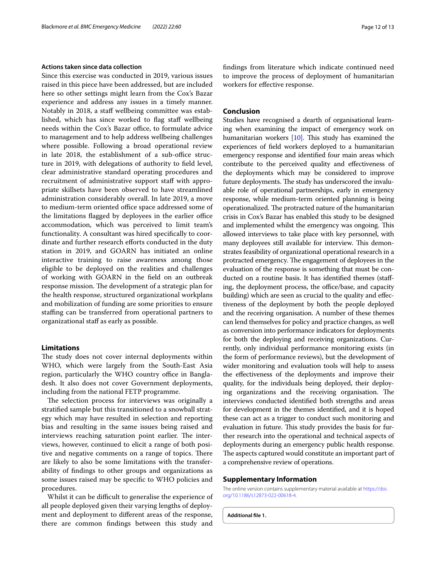## **Actions taken since data collection**

Since this exercise was conducted in 2019, various issues raised in this piece have been addressed, but are included here so other settings might learn from the Cox's Bazar experience and address any issues in a timely manner. Notably in 2018, a staf wellbeing committee was established, which has since worked to flag staff wellbeing needs within the Cox's Bazar office, to formulate advice to management and to help address wellbeing challenges where possible. Following a broad operational review in late 2018, the establishment of a sub-office structure in 2019, with delegations of authority to feld level, clear administrative standard operating procedures and recruitment of administrative support staff with appropriate skillsets have been observed to have streamlined administration considerably overall. In late 2019, a move to medium-term oriented office space addressed some of the limitations flagged by deployees in the earlier office accommodation, which was perceived to limit team's functionality. A consultant was hired specifcally to coordinate and further research efforts conducted in the duty station in 2019, and GOARN has initiated an online interactive training to raise awareness among those eligible to be deployed on the realities and challenges of working with GOARN in the feld on an outbreak response mission. The development of a strategic plan for the health response, structured organizational workplans and mobilization of funding are some priorities to ensure stafng can be transferred from operational partners to organizational staf as early as possible.

## **Limitations**

The study does not cover internal deployments within WHO, which were largely from the South-East Asia region, particularly the WHO country office in Bangladesh. It also does not cover Government deployments, including from the national FETP programme.

The selection process for interviews was originally a stratifed sample but this transitioned to a snowball strategy which may have resulted in selection and reporting bias and resulting in the same issues being raised and interviews reaching saturation point earlier. The interviews, however, continued to elicit a range of both positive and negative comments on a range of topics. There are likely to also be some limitations with the transferability of fndings to other groups and organizations as some issues raised may be specifc to WHO policies and procedures.

Whilst it can be difficult to generalise the experience of all people deployed given their varying lengths of deployment and deployment to diferent areas of the response, there are common fndings between this study and fndings from literature which indicate continued need to improve the process of deployment of humanitarian workers for efective response.

## **Conclusion**

Studies have recognised a dearth of organisational learning when examining the impact of emergency work on humanitarian workers  $[10]$ . This study has examined the experiences of feld workers deployed to a humanitarian emergency response and identifed four main areas which contribute to the perceived quality and efectiveness of the deployments which may be considered to improve future deployments. The study has underscored the invaluable role of operational partnerships, early in emergency response, while medium-term oriented planning is being operationalized. The protracted nature of the humanitarian crisis in Cox's Bazar has enabled this study to be designed and implemented whilst the emergency was ongoing. This allowed interviews to take place with key personnel, with many deployees still available for interview. This demonstrates feasibility of organizational operational research in a protracted emergency. The engagement of deployees in the evaluation of the response is something that must be conducted on a routine basis. It has identifed themes (stafing, the deployment process, the office/base, and capacity building) which are seen as crucial to the quality and efectiveness of the deployment by both the people deployed and the receiving organisation. A number of these themes can lend themselves for policy and practice changes, as well as conversion into performance indicators for deployments for both the deploying and receiving organizations. Currently, only individual performance monitoring exists (in the form of performance reviews), but the development of wider monitoring and evaluation tools will help to assess the efectiveness of the deployments and improve their quality, for the individuals being deployed, their deploying organizations and the receiving organisation. The interviews conducted identifed both strengths and areas for development in the themes identifed, and it is hoped these can act as a trigger to conduct such monitoring and evaluation in future. This study provides the basis for further research into the operational and technical aspects of deployments during an emergency public health response. The aspects captured would constitute an important part of a comprehensive review of operations.

#### **Supplementary Information**

The online version contains supplementary material available at [https://doi.](https://doi.org/10.1186/s12873-022-00618-4) [org/10.1186/s12873-022-00618-4](https://doi.org/10.1186/s12873-022-00618-4).

<span id="page-11-0"></span>**Additional fle 1.**